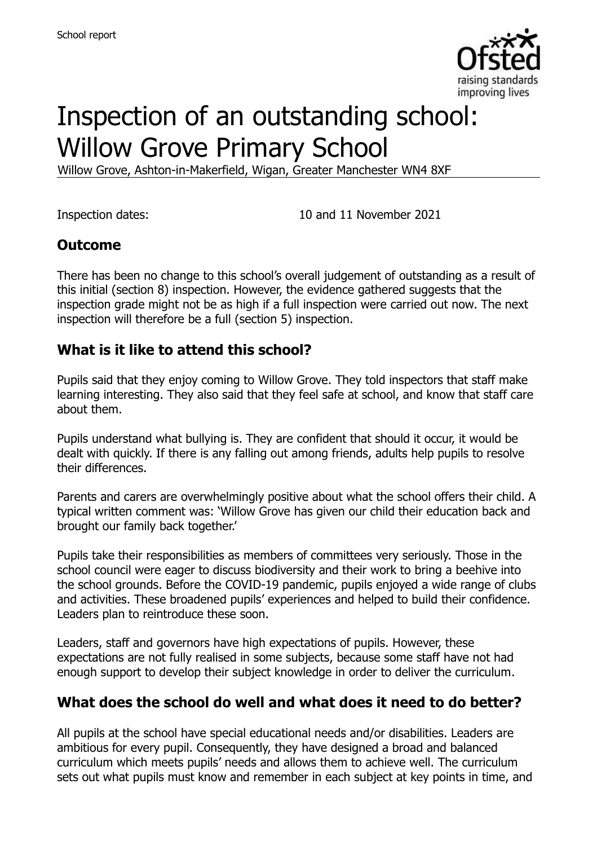

# Inspection of an outstanding school: Willow Grove Primary School

Willow Grove, Ashton-in-Makerfield, Wigan, Greater Manchester WN4 8XF

Inspection dates: 10 and 11 November 2021

### **Outcome**

There has been no change to this school's overall judgement of outstanding as a result of this initial (section 8) inspection. However, the evidence gathered suggests that the inspection grade might not be as high if a full inspection were carried out now. The next inspection will therefore be a full (section 5) inspection.

### **What is it like to attend this school?**

Pupils said that they enjoy coming to Willow Grove. They told inspectors that staff make learning interesting. They also said that they feel safe at school, and know that staff care about them.

Pupils understand what bullying is. They are confident that should it occur, it would be dealt with quickly. If there is any falling out among friends, adults help pupils to resolve their differences.

Parents and carers are overwhelmingly positive about what the school offers their child. A typical written comment was: 'Willow Grove has given our child their education back and brought our family back together.'

Pupils take their responsibilities as members of committees very seriously. Those in the school council were eager to discuss biodiversity and their work to bring a beehive into the school grounds. Before the COVID-19 pandemic, pupils enjoyed a wide range of clubs and activities. These broadened pupils' experiences and helped to build their confidence. Leaders plan to reintroduce these soon.

Leaders, staff and governors have high expectations of pupils. However, these expectations are not fully realised in some subjects, because some staff have not had enough support to develop their subject knowledge in order to deliver the curriculum.

# **What does the school do well and what does it need to do better?**

All pupils at the school have special educational needs and/or disabilities. Leaders are ambitious for every pupil. Consequently, they have designed a broad and balanced curriculum which meets pupils' needs and allows them to achieve well. The curriculum sets out what pupils must know and remember in each subject at key points in time, and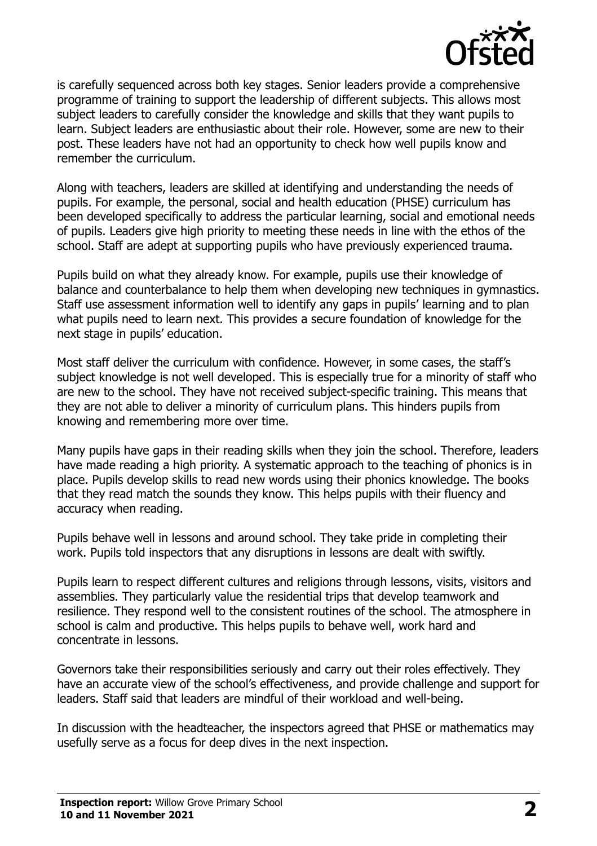

is carefully sequenced across both key stages. Senior leaders provide a comprehensive programme of training to support the leadership of different subjects. This allows most subject leaders to carefully consider the knowledge and skills that they want pupils to learn. Subject leaders are enthusiastic about their role. However, some are new to their post. These leaders have not had an opportunity to check how well pupils know and remember the curriculum.

Along with teachers, leaders are skilled at identifying and understanding the needs of pupils. For example, the personal, social and health education (PHSE) curriculum has been developed specifically to address the particular learning, social and emotional needs of pupils. Leaders give high priority to meeting these needs in line with the ethos of the school. Staff are adept at supporting pupils who have previously experienced trauma.

Pupils build on what they already know. For example, pupils use their knowledge of balance and counterbalance to help them when developing new techniques in gymnastics. Staff use assessment information well to identify any gaps in pupils' learning and to plan what pupils need to learn next. This provides a secure foundation of knowledge for the next stage in pupils' education.

Most staff deliver the curriculum with confidence. However, in some cases, the staff's subject knowledge is not well developed. This is especially true for a minority of staff who are new to the school. They have not received subject-specific training. This means that they are not able to deliver a minority of curriculum plans. This hinders pupils from knowing and remembering more over time.

Many pupils have gaps in their reading skills when they join the school. Therefore, leaders have made reading a high priority. A systematic approach to the teaching of phonics is in place. Pupils develop skills to read new words using their phonics knowledge. The books that they read match the sounds they know. This helps pupils with their fluency and accuracy when reading.

Pupils behave well in lessons and around school. They take pride in completing their work. Pupils told inspectors that any disruptions in lessons are dealt with swiftly.

Pupils learn to respect different cultures and religions through lessons, visits, visitors and assemblies. They particularly value the residential trips that develop teamwork and resilience. They respond well to the consistent routines of the school. The atmosphere in school is calm and productive. This helps pupils to behave well, work hard and concentrate in lessons.

Governors take their responsibilities seriously and carry out their roles effectively. They have an accurate view of the school's effectiveness, and provide challenge and support for leaders. Staff said that leaders are mindful of their workload and well-being.

In discussion with the headteacher, the inspectors agreed that PHSE or mathematics may usefully serve as a focus for deep dives in the next inspection.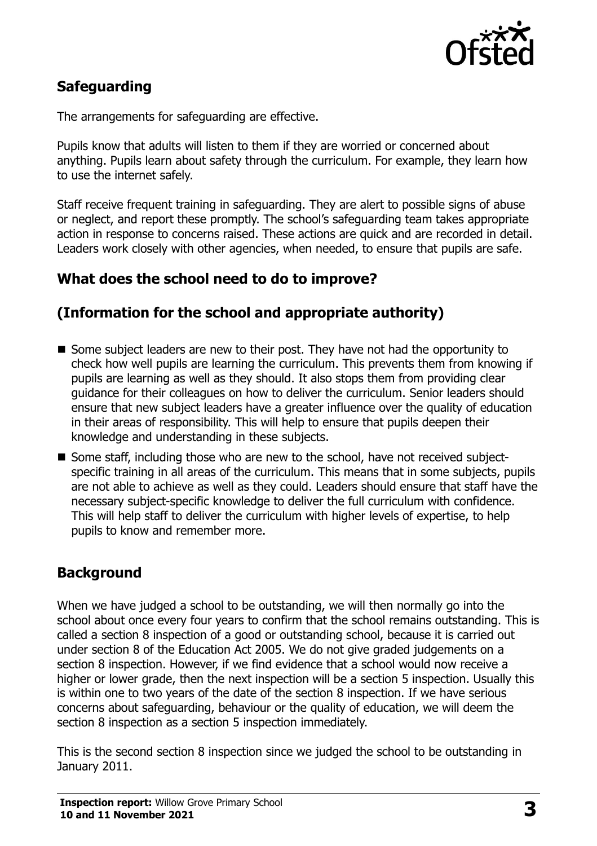

# **Safeguarding**

The arrangements for safeguarding are effective.

Pupils know that adults will listen to them if they are worried or concerned about anything. Pupils learn about safety through the curriculum. For example, they learn how to use the internet safely.

Staff receive frequent training in safeguarding. They are alert to possible signs of abuse or neglect, and report these promptly. The school's safeguarding team takes appropriate action in response to concerns raised. These actions are quick and are recorded in detail. Leaders work closely with other agencies, when needed, to ensure that pupils are safe.

# **What does the school need to do to improve?**

### **(Information for the school and appropriate authority)**

- Some subject leaders are new to their post. They have not had the opportunity to check how well pupils are learning the curriculum. This prevents them from knowing if pupils are learning as well as they should. It also stops them from providing clear guidance for their colleagues on how to deliver the curriculum. Senior leaders should ensure that new subject leaders have a greater influence over the quality of education in their areas of responsibility. This will help to ensure that pupils deepen their knowledge and understanding in these subjects.
- Some staff, including those who are new to the school, have not received subjectspecific training in all areas of the curriculum. This means that in some subjects, pupils are not able to achieve as well as they could. Leaders should ensure that staff have the necessary subject-specific knowledge to deliver the full curriculum with confidence. This will help staff to deliver the curriculum with higher levels of expertise, to help pupils to know and remember more.

# **Background**

When we have judged a school to be outstanding, we will then normally go into the school about once every four years to confirm that the school remains outstanding. This is called a section 8 inspection of a good or outstanding school, because it is carried out under section 8 of the Education Act 2005. We do not give graded judgements on a section 8 inspection. However, if we find evidence that a school would now receive a higher or lower grade, then the next inspection will be a section 5 inspection. Usually this is within one to two years of the date of the section 8 inspection. If we have serious concerns about safeguarding, behaviour or the quality of education, we will deem the section 8 inspection as a section 5 inspection immediately.

This is the second section 8 inspection since we judged the school to be outstanding in January 2011.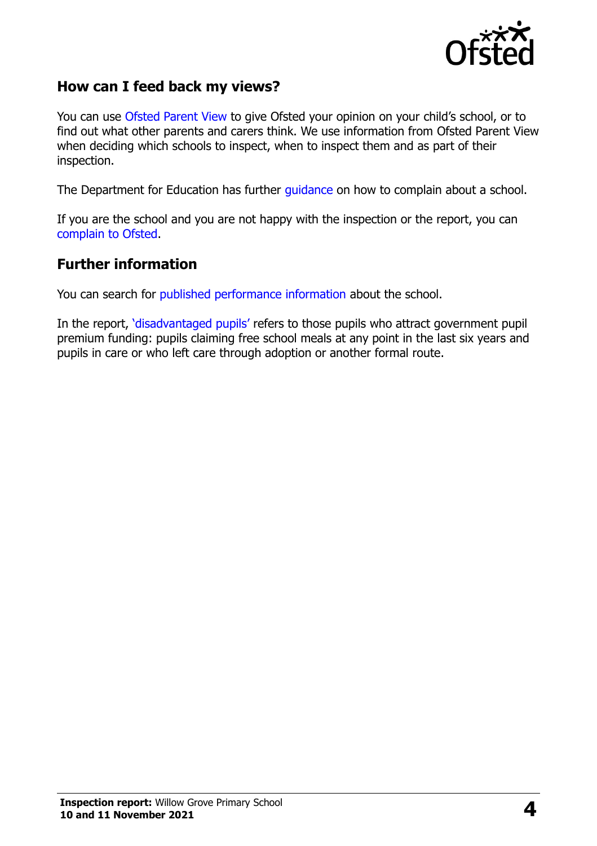

#### **How can I feed back my views?**

You can use [Ofsted Parent View](https://parentview.ofsted.gov.uk/) to give Ofsted your opinion on your child's school, or to find out what other parents and carers think. We use information from Ofsted Parent View when deciding which schools to inspect, when to inspect them and as part of their inspection.

The Department for Education has further [guidance](http://www.gov.uk/complain-about-school) on how to complain about a school.

If you are the school and you are not happy with the inspection or the report, you can [complain to Ofsted.](https://www.gov.uk/complain-ofsted-report)

#### **Further information**

You can search for [published performance information](http://www.compare-school-performance.service.gov.uk/) about the school.

In the report, '[disadvantaged pupils](http://www.gov.uk/guidance/pupil-premium-information-for-schools-and-alternative-provision-settings)' refers to those pupils who attract government pupil premium funding: pupils claiming free school meals at any point in the last six years and pupils in care or who left care through adoption or another formal route.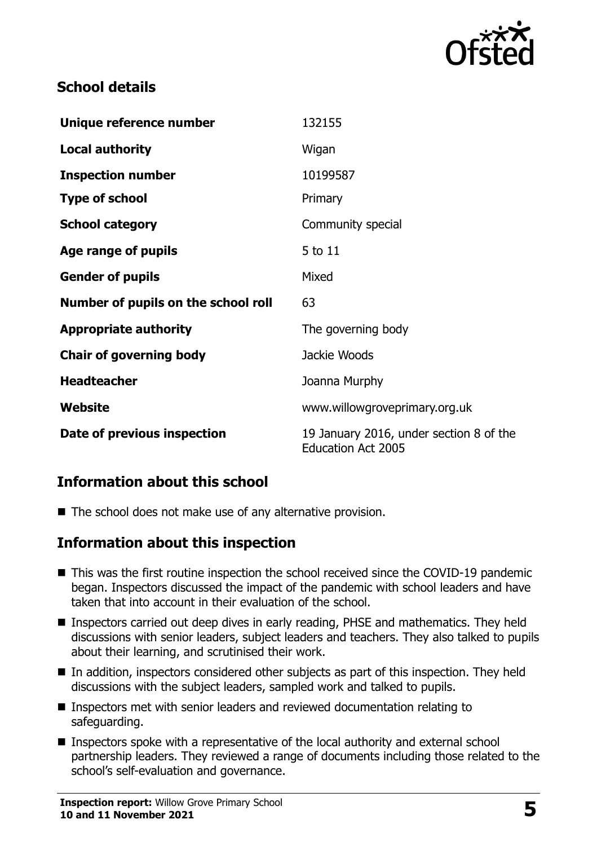

## **School details**

| Unique reference number             | 132155                                                               |
|-------------------------------------|----------------------------------------------------------------------|
| <b>Local authority</b>              | Wigan                                                                |
| <b>Inspection number</b>            | 10199587                                                             |
| <b>Type of school</b>               | Primary                                                              |
| <b>School category</b>              | Community special                                                    |
| Age range of pupils                 | 5 to 11                                                              |
| <b>Gender of pupils</b>             | Mixed                                                                |
| Number of pupils on the school roll | 63                                                                   |
| <b>Appropriate authority</b>        | The governing body                                                   |
| <b>Chair of governing body</b>      | Jackie Woods                                                         |
| <b>Headteacher</b>                  | Joanna Murphy                                                        |
| Website                             | www.willowgroveprimary.org.uk                                        |
| Date of previous inspection         | 19 January 2016, under section 8 of the<br><b>Education Act 2005</b> |

# **Information about this school**

■ The school does not make use of any alternative provision.

#### **Information about this inspection**

- This was the first routine inspection the school received since the COVID-19 pandemic began. Inspectors discussed the impact of the pandemic with school leaders and have taken that into account in their evaluation of the school.
- **Inspectors carried out deep dives in early reading, PHSE and mathematics. They held** discussions with senior leaders, subject leaders and teachers. They also talked to pupils about their learning, and scrutinised their work.
- In addition, inspectors considered other subjects as part of this inspection. They held discussions with the subject leaders, sampled work and talked to pupils.
- Inspectors met with senior leaders and reviewed documentation relating to safeguarding.
- Inspectors spoke with a representative of the local authority and external school partnership leaders. They reviewed a range of documents including those related to the school's self-evaluation and governance.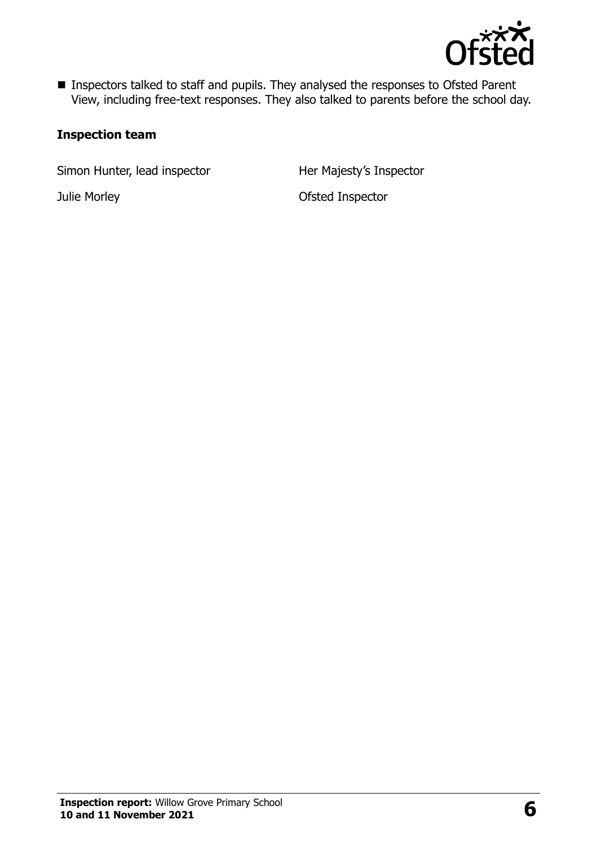

■ Inspectors talked to staff and pupils. They analysed the responses to Ofsted Parent View, including free-text responses. They also talked to parents before the school day.

#### **Inspection team**

Simon Hunter, lead inspector Her Majesty's Inspector

Julie Morley Ofsted Inspector